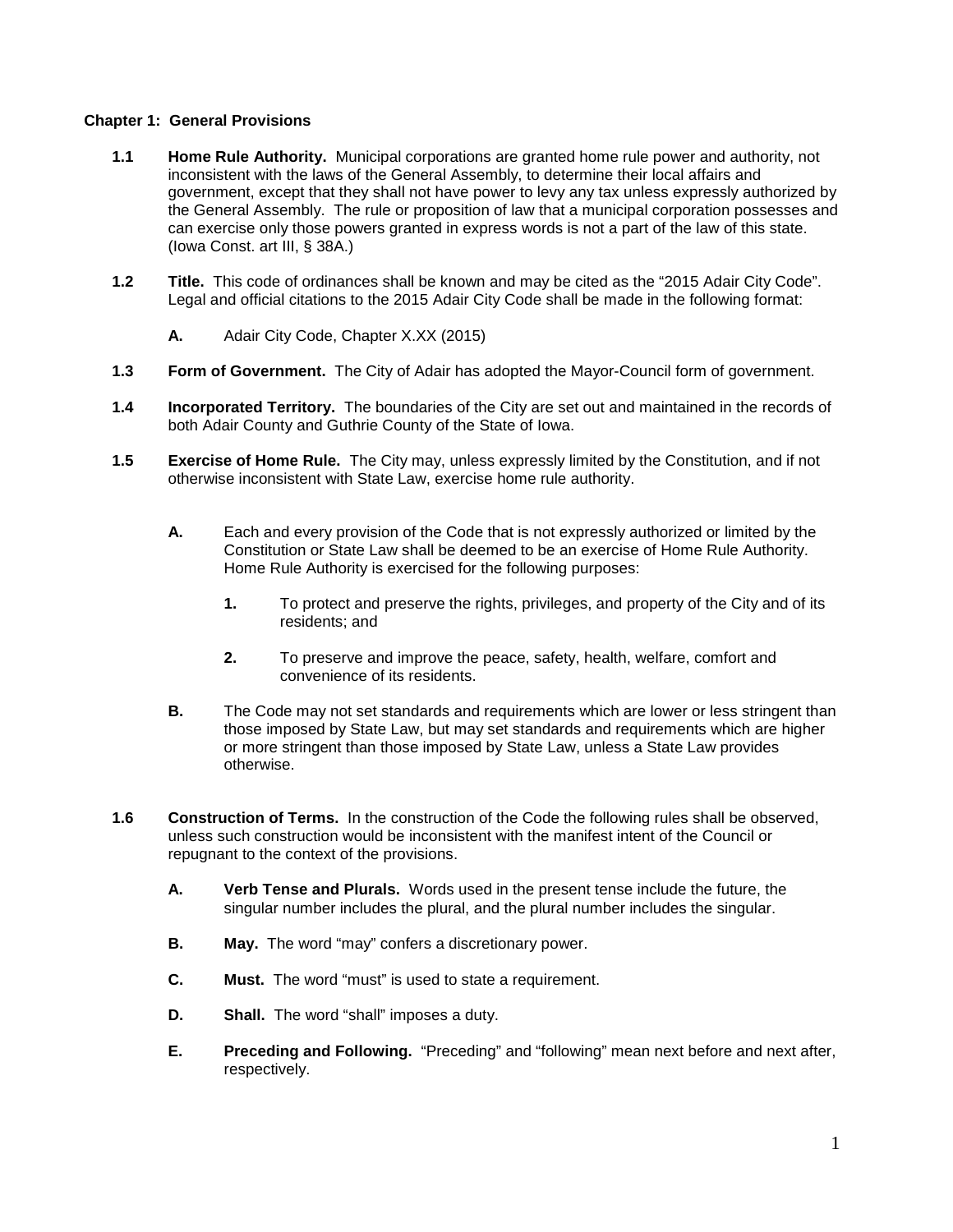## **Chapter 1: General Provisions**

- **1.1 Home Rule Authority.** Municipal corporations are granted home rule power and authority, not inconsistent with the laws of the General Assembly, to determine their local affairs and government, except that they shall not have power to levy any tax unless expressly authorized by the General Assembly. The rule or proposition of law that a municipal corporation possesses and can exercise only those powers granted in express words is not a part of the law of this state. (Iowa Const. art III, § 38A.)
- **1.2 Title.** This code of ordinances shall be known and may be cited as the "2015 Adair City Code". Legal and official citations to the 2015 Adair City Code shall be made in the following format:
	- **A.** Adair City Code, Chapter X.XX (2015)
- **1.3 Form of Government.** The City of Adair has adopted the Mayor-Council form of government.
- **1.4 Incorporated Territory.** The boundaries of the City are set out and maintained in the records of both Adair County and Guthrie County of the State of Iowa.
- **1.5 Exercise of Home Rule.** The City may, unless expressly limited by the Constitution, and if not otherwise inconsistent with State Law, exercise home rule authority.
	- **A.** Each and every provision of the Code that is not expressly authorized or limited by the Constitution or State Law shall be deemed to be an exercise of Home Rule Authority. Home Rule Authority is exercised for the following purposes:
		- **1.** To protect and preserve the rights, privileges, and property of the City and of its residents; and
		- **2.** To preserve and improve the peace, safety, health, welfare, comfort and convenience of its residents.
	- **B.** The Code may not set standards and requirements which are lower or less stringent than those imposed by State Law, but may set standards and requirements which are higher or more stringent than those imposed by State Law, unless a State Law provides otherwise.
- **1.6 Construction of Terms.** In the construction of the Code the following rules shall be observed, unless such construction would be inconsistent with the manifest intent of the Council or repugnant to the context of the provisions.
	- **A. Verb Tense and Plurals.** Words used in the present tense include the future, the singular number includes the plural, and the plural number includes the singular.
	- **B. May.** The word "may" confers a discretionary power.
	- **C. Must.** The word "must" is used to state a requirement.
	- **D. Shall.** The word "shall" imposes a duty.
	- **E. Preceding and Following.** "Preceding" and "following" mean next before and next after, respectively.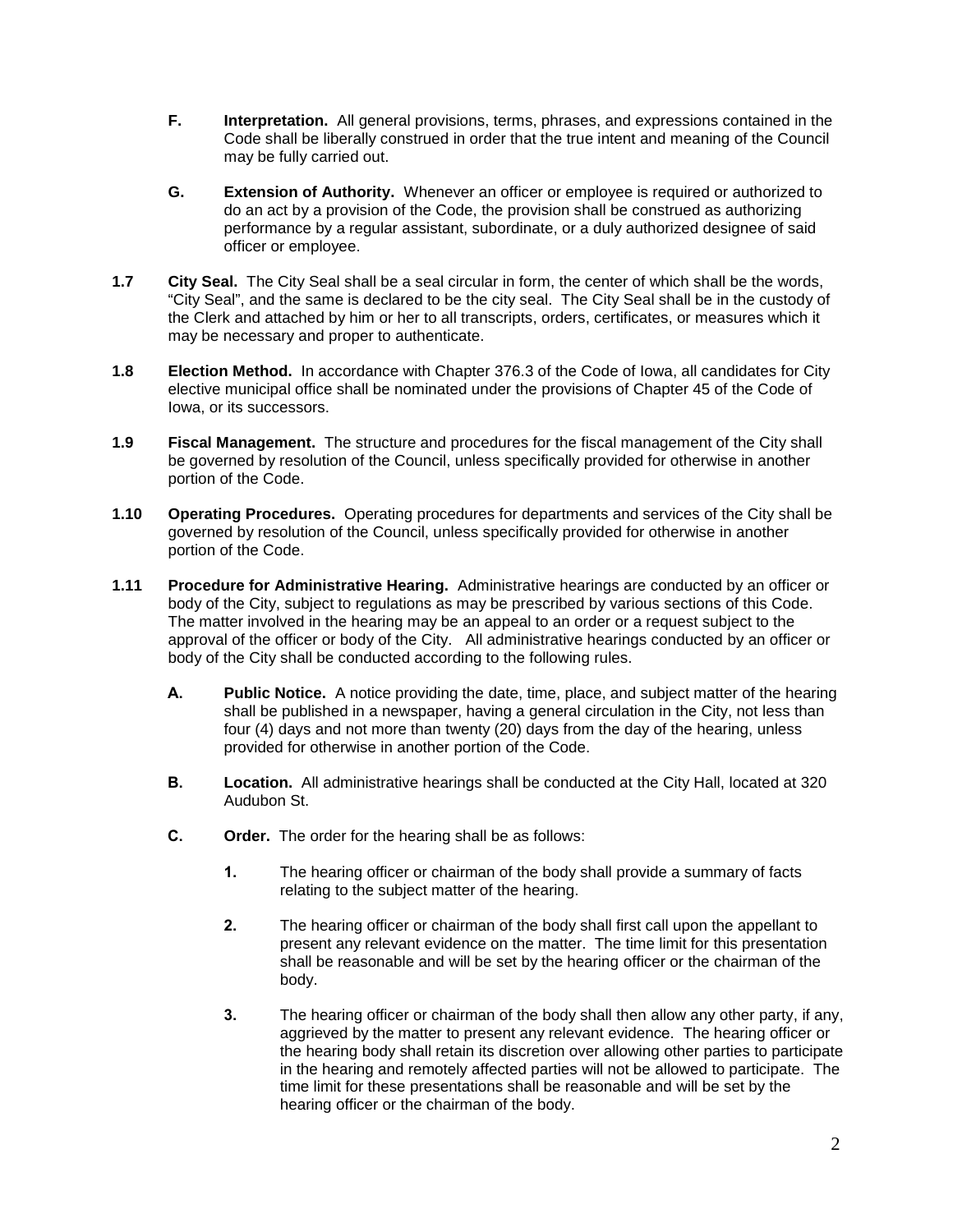- **F. Interpretation.** All general provisions, terms, phrases, and expressions contained in the Code shall be liberally construed in order that the true intent and meaning of the Council may be fully carried out.
- **G. Extension of Authority.** Whenever an officer or employee is required or authorized to do an act by a provision of the Code, the provision shall be construed as authorizing performance by a regular assistant, subordinate, or a duly authorized designee of said officer or employee.
- **1.7 City Seal.** The City Seal shall be a seal circular in form, the center of which shall be the words, "City Seal", and the same is declared to be the city seal. The City Seal shall be in the custody of the Clerk and attached by him or her to all transcripts, orders, certificates, or measures which it may be necessary and proper to authenticate.
- **1.8 Election Method.** In accordance with Chapter 376.3 of the Code of Iowa, all candidates for City elective municipal office shall be nominated under the provisions of Chapter 45 of the Code of Iowa, or its successors.
- **1.9 Fiscal Management.** The structure and procedures for the fiscal management of the City shall be governed by resolution of the Council, unless specifically provided for otherwise in another portion of the Code.
- **1.10 Operating Procedures.** Operating procedures for departments and services of the City shall be governed by resolution of the Council, unless specifically provided for otherwise in another portion of the Code.
- **1.11 Procedure for Administrative Hearing.** Administrative hearings are conducted by an officer or body of the City, subject to regulations as may be prescribed by various sections of this Code. The matter involved in the hearing may be an appeal to an order or a request subject to the approval of the officer or body of the City. All administrative hearings conducted by an officer or body of the City shall be conducted according to the following rules.
	- **A. Public Notice.** A notice providing the date, time, place, and subject matter of the hearing shall be published in a newspaper, having a general circulation in the City, not less than four (4) days and not more than twenty (20) days from the day of the hearing, unless provided for otherwise in another portion of the Code.
	- **B. Location.** All administrative hearings shall be conducted at the City Hall, located at 320 Audubon St.
	- **C. Order.** The order for the hearing shall be as follows:
		- **1.** The hearing officer or chairman of the body shall provide a summary of facts relating to the subject matter of the hearing.
		- **2.** The hearing officer or chairman of the body shall first call upon the appellant to present any relevant evidence on the matter. The time limit for this presentation shall be reasonable and will be set by the hearing officer or the chairman of the body.
		- **3.** The hearing officer or chairman of the body shall then allow any other party, if any, aggrieved by the matter to present any relevant evidence. The hearing officer or the hearing body shall retain its discretion over allowing other parties to participate in the hearing and remotely affected parties will not be allowed to participate. The time limit for these presentations shall be reasonable and will be set by the hearing officer or the chairman of the body.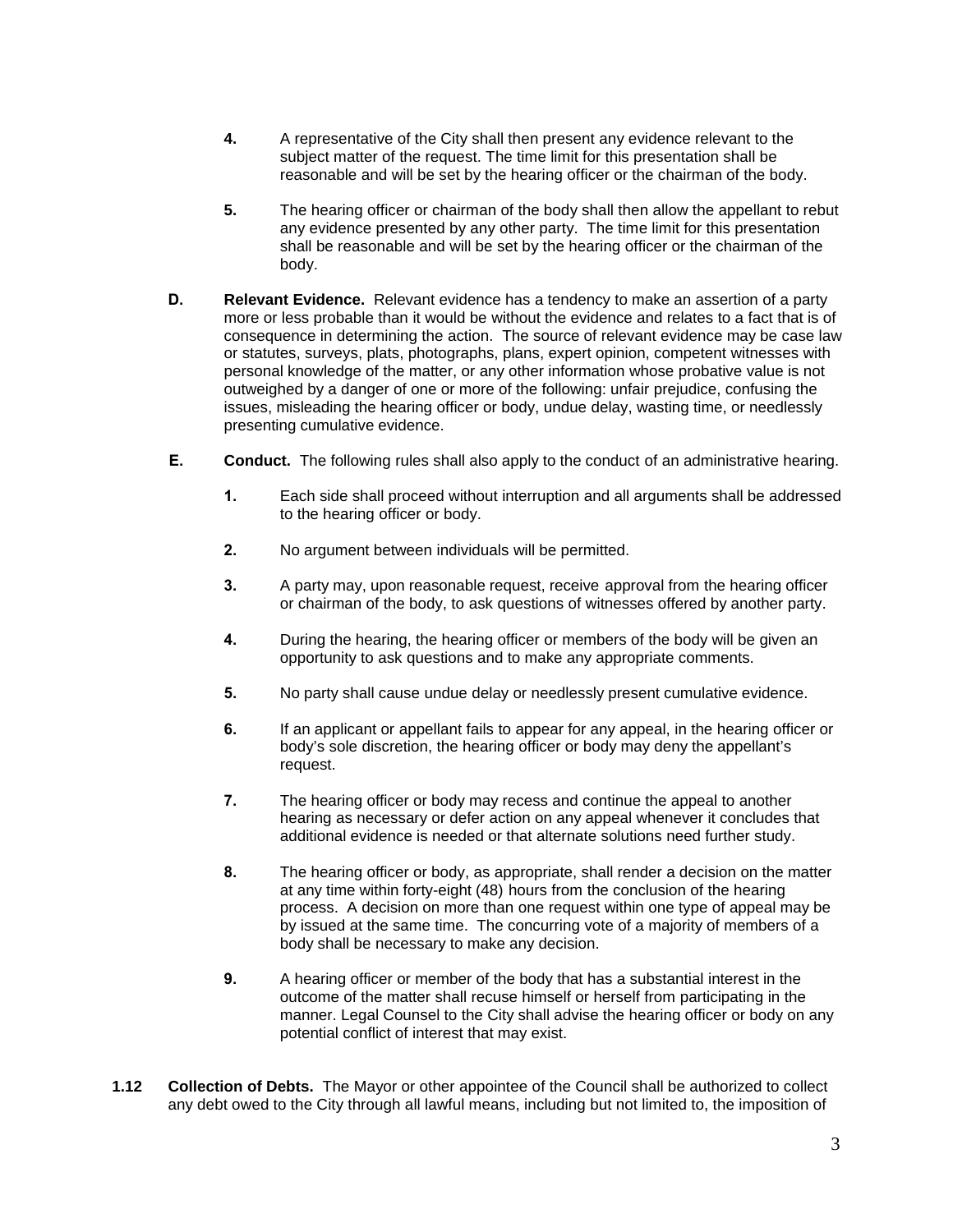- **4.** A representative of the City shall then present any evidence relevant to the subject matter of the request. The time limit for this presentation shall be reasonable and will be set by the hearing officer or the chairman of the body.
- **5.** The hearing officer or chairman of the body shall then allow the appellant to rebut any evidence presented by any other party. The time limit for this presentation shall be reasonable and will be set by the hearing officer or the chairman of the body.
- **D. Relevant Evidence.** Relevant evidence has a tendency to make an assertion of a party more or less probable than it would be without the evidence and relates to a fact that is of consequence in determining the action. The source of relevant evidence may be case law or statutes, surveys, plats, photographs, plans, expert opinion, competent witnesses with personal knowledge of the matter, or any other information whose probative value is not outweighed by a danger of one or more of the following: unfair prejudice, confusing the issues, misleading the hearing officer or body, undue delay, wasting time, or needlessly presenting cumulative evidence.
- **E. Conduct.** The following rules shall also apply to the conduct of an administrative hearing.
	- **1.** Each side shall proceed without interruption and all arguments shall be addressed to the hearing officer or body.
	- **2.** No argument between individuals will be permitted.
	- **3.** A party may, upon reasonable request, receive approval from the hearing officer or chairman of the body, to ask questions of witnesses offered by another party.
	- **4.** During the hearing, the hearing officer or members of the body will be given an opportunity to ask questions and to make any appropriate comments.
	- **5.** No party shall cause undue delay or needlessly present cumulative evidence.
	- **6.** If an applicant or appellant fails to appear for any appeal, in the hearing officer or body's sole discretion, the hearing officer or body may deny the appellant's request.
	- **7.** The hearing officer or body may recess and continue the appeal to another hearing as necessary or defer action on any appeal whenever it concludes that additional evidence is needed or that alternate solutions need further study.
	- **8.** The hearing officer or body, as appropriate, shall render a decision on the matter at any time within forty-eight (48) hours from the conclusion of the hearing process. A decision on more than one request within one type of appeal may be by issued at the same time. The concurring vote of a majority of members of a body shall be necessary to make any decision.
	- **9.** A hearing officer or member of the body that has a substantial interest in the outcome of the matter shall recuse himself or herself from participating in the manner. Legal Counsel to the City shall advise the hearing officer or body on any potential conflict of interest that may exist.
- **1.12 Collection of Debts.** The Mayor or other appointee of the Council shall be authorized to collect any debt owed to the City through all lawful means, including but not limited to, the imposition of